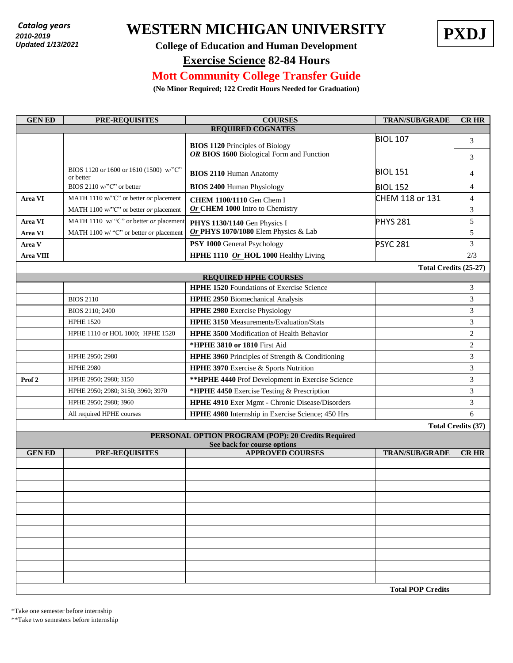*2010 - present* **2010-2019** *Updated 7/18/2018*  **Updated 1/13/2021**

## Catalog years **WESTERN MICHIGAN UNIVERSITY PXDJ**



## **College of Education and Human Development**

**Exercise Science 82-84 Hours**

## **Mott Community College Transfer Guide**

**(No Minor Required; 122 Credit Hours Needed for Graduation)**

| <b>GENED</b>                 | PRE-REQUISITES                                      | <b>COURSES</b>                                                                      | <b>TRAN/SUB/GRADE</b>    | <b>CR HR</b>              |  |  |  |  |
|------------------------------|-----------------------------------------------------|-------------------------------------------------------------------------------------|--------------------------|---------------------------|--|--|--|--|
| <b>REQUIRED COGNATES</b>     |                                                     |                                                                                     |                          |                           |  |  |  |  |
|                              |                                                     | <b>BIOS 1120 Principles of Biology</b><br>OR BIOS 1600 Biological Form and Function | <b>BIOL 107</b>          | 3                         |  |  |  |  |
|                              |                                                     |                                                                                     |                          | 3                         |  |  |  |  |
|                              | BIOS 1120 or 1600 or 1610 (1500) w/"C"<br>or better | <b>BIOS 2110 Human Anatomy</b>                                                      | <b>BIOL 151</b>          | 4                         |  |  |  |  |
|                              | BIOS 2110 w/"C" or better                           | <b>BIOS 2400 Human Physiology</b>                                                   | <b>BIOL 152</b>          | $\overline{4}$            |  |  |  |  |
| Area VI                      | MATH 1110 w/"C" or better or placement              | <b>CHEM 1100/1110 Gen Chem I</b>                                                    | CHEM 118 or 131          | 4                         |  |  |  |  |
|                              | MATH 1100 w/"C" or better or placement              | Or CHEM 1000 Intro to Chemistry                                                     |                          | 3                         |  |  |  |  |
| Area VI                      | MATH 1110 w/ "C" or better or placement             | PHYS 1130/1140 Gen Physics I                                                        | <b>PHYS 281</b>          | 5                         |  |  |  |  |
| Area VI                      | MATH 1100 w/ "C" or better or placement             | Or PHYS 1070/1080 Elem Physics & Lab                                                |                          | 5                         |  |  |  |  |
| Area V                       |                                                     | PSY 1000 General Psychology                                                         | <b>PSYC 281</b>          | 3                         |  |  |  |  |
| <b>Area VIII</b>             |                                                     | HPHE 1110 Or_HOL 1000 Healthy Living                                                |                          | 2/3                       |  |  |  |  |
|                              |                                                     |                                                                                     | Total Credits (25-27)    |                           |  |  |  |  |
| <b>REQUIRED HPHE COURSES</b> |                                                     |                                                                                     |                          |                           |  |  |  |  |
|                              |                                                     | <b>HPHE 1520</b> Foundations of Exercise Science                                    |                          | 3                         |  |  |  |  |
|                              | <b>BIOS 2110</b>                                    | <b>HPHE 2950</b> Biomechanical Analysis                                             |                          | 3                         |  |  |  |  |
|                              | BIOS 2110; 2400                                     | <b>HPHE 2980</b> Exercise Physiology                                                |                          | 3                         |  |  |  |  |
|                              | <b>HPHE 1520</b>                                    | <b>HPHE 3150 Measurements/Evaluation/Stats</b>                                      |                          | 3                         |  |  |  |  |
|                              | HPHE 1110 or HOL 1000; HPHE 1520                    | <b>HPHE 3500 Modification of Health Behavior</b>                                    |                          | 2                         |  |  |  |  |
|                              |                                                     | <b>*HPHE 3810 or 1810 First Aid</b>                                                 |                          | $\overline{c}$            |  |  |  |  |
|                              | HPHE 2950; 2980                                     | HPHE 3960 Principles of Strength & Conditioning                                     |                          | 3                         |  |  |  |  |
|                              | <b>HPHE 2980</b>                                    | HPHE 3970 Exercise & Sports Nutrition                                               |                          | 3                         |  |  |  |  |
| Prof <sub>2</sub>            | HPHE 2950; 2980; 3150                               | ** HPHE 4440 Prof Development in Exercise Science                                   |                          | 3                         |  |  |  |  |
|                              | HPHE 2950; 2980; 3150; 3960; 3970                   | *HPHE 4450 Exercise Testing & Prescription                                          |                          | 3                         |  |  |  |  |
|                              | HPHE 2950; 2980; 3960                               | HPHE 4910 Exer Mgmt - Chronic Disease/Disorders                                     |                          | 3                         |  |  |  |  |
|                              | All required HPHE courses                           | HPHE 4980 Internship in Exercise Science; 450 Hrs                                   |                          | 6                         |  |  |  |  |
|                              |                                                     |                                                                                     |                          | <b>Total Credits (37)</b> |  |  |  |  |
|                              |                                                     | PERSONAL OPTION PROGRAM (POP): 20 Credits Required                                  |                          |                           |  |  |  |  |
| <b>GENED</b>                 | <b>PRE-REQUISITES</b>                               | See back for course options<br><b>APPROVED COURSES</b>                              | <b>TRAN/SUB/GRADE</b>    | <b>CRHR</b>               |  |  |  |  |
|                              |                                                     |                                                                                     |                          |                           |  |  |  |  |
|                              |                                                     |                                                                                     |                          |                           |  |  |  |  |
|                              |                                                     |                                                                                     |                          |                           |  |  |  |  |
|                              |                                                     |                                                                                     |                          |                           |  |  |  |  |
|                              |                                                     |                                                                                     |                          |                           |  |  |  |  |
|                              |                                                     |                                                                                     |                          |                           |  |  |  |  |
|                              |                                                     |                                                                                     |                          |                           |  |  |  |  |
|                              |                                                     |                                                                                     |                          |                           |  |  |  |  |
|                              |                                                     |                                                                                     |                          |                           |  |  |  |  |
|                              |                                                     |                                                                                     |                          |                           |  |  |  |  |
|                              |                                                     |                                                                                     |                          |                           |  |  |  |  |
|                              |                                                     |                                                                                     | <b>Total POP Credits</b> |                           |  |  |  |  |

\*Take one semester before internship

\*\*Take two semesters before internship